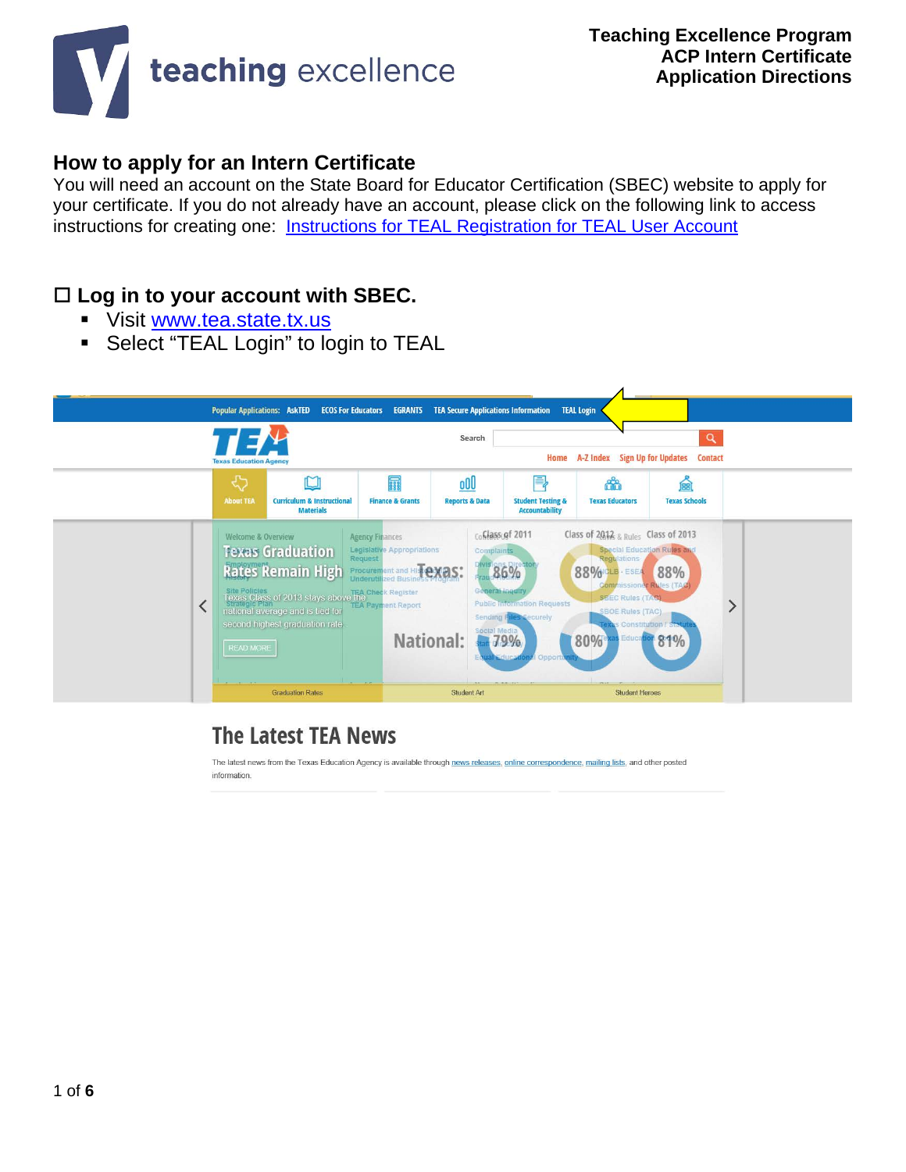

### **How to apply for an Intern Certificate**

You will need an account on the State Board for Educator Certification (SBEC) website to apply for your certificate. If you do not already have an account, please click on the following link to access instructions for creating one: **[Instructions for TEAL Registration for TEAL User Account](https://docs.google.com/viewer?a=v&pid=sites&srcid=ZGVmYXVsdGRvbWFpbnx0ZWFjaGluZ2V4Y2VsbGVuY2V3ZWxjb21lMjAxNHxneDo3NzllYmI1NGNhMWY5ZjQz)** 

### **Log in to your account with SBEC.**

- Visit [www.tea.state.tx.us](http://www.tea.state.tx.us/)
- **Select "TEAL Login" to login to TEAL**



## **The Latest TEA News**

The latest news from the Texas Education Agency is available through news releases, online correspondence, mailing lists, and other posted information.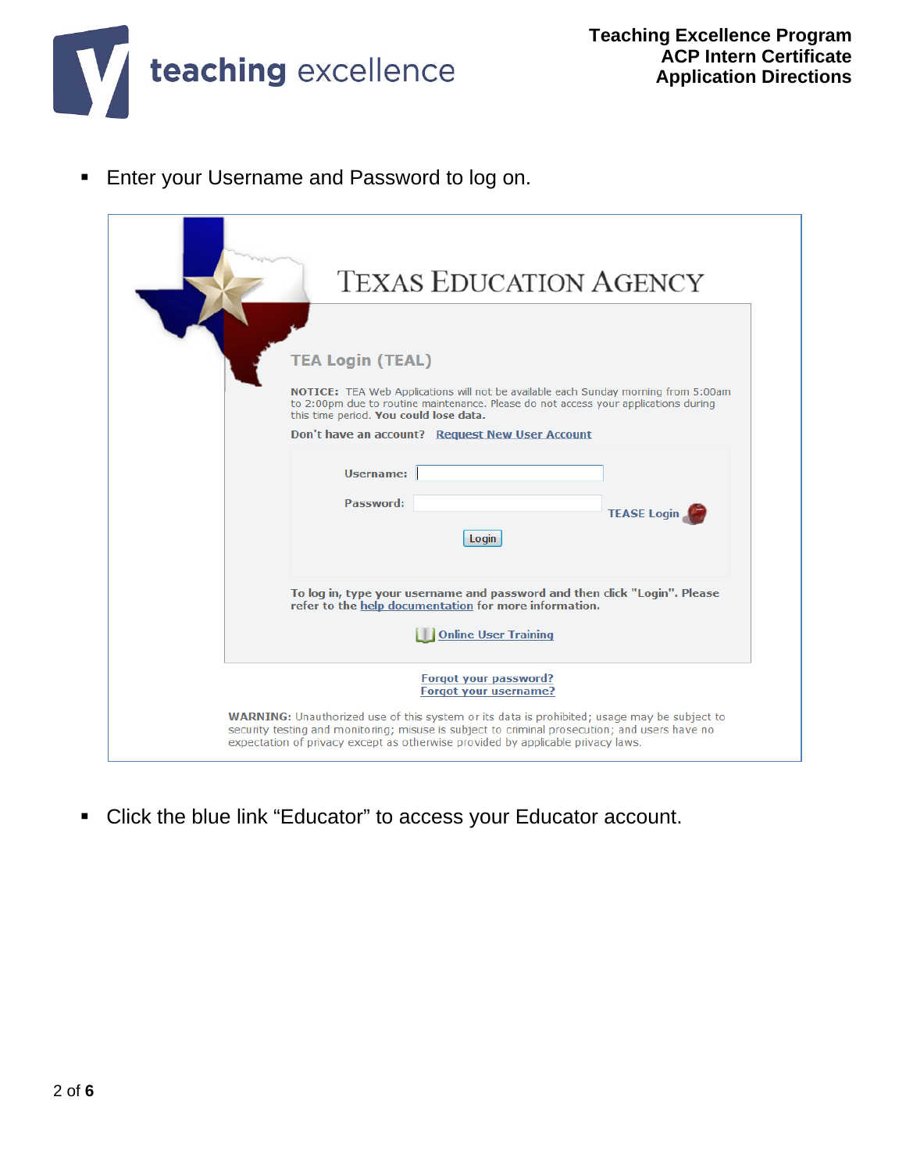

**Enter your Username and Password to log on.** 

| <b>TEXAS EDUCATION AGENCY</b>                                                                                                                                                                                                                                                                                                                   |
|-------------------------------------------------------------------------------------------------------------------------------------------------------------------------------------------------------------------------------------------------------------------------------------------------------------------------------------------------|
| <b>TEA Login (TEAL)</b><br>NOTICE: TEA Web Applications will not be available each Sunday morning from 5:00am<br>to 2:00pm due to routine maintenance. Please do not access your applications during<br>this time period. You could lose data.<br>Don't have an account? Request New User Account                                               |
| Username:<br>Password:<br><b>TEASE Login</b><br>Login                                                                                                                                                                                                                                                                                           |
| To log in, type your username and password and then click "Login". Please<br>refer to the help documentation for more information.<br><b>Online User Training</b>                                                                                                                                                                               |
| Forgot your password?<br><b>Forgot your username?</b><br><b>WARNING:</b> Unauthorized use of this system or its data is prohibited; usage may be subject to<br>security testing and monitoring; misuse is subject to criminal prosecution; and users have no<br>expectation of privacy except as otherwise provided by applicable privacy laws. |

Click the blue link "Educator" to access your Educator account.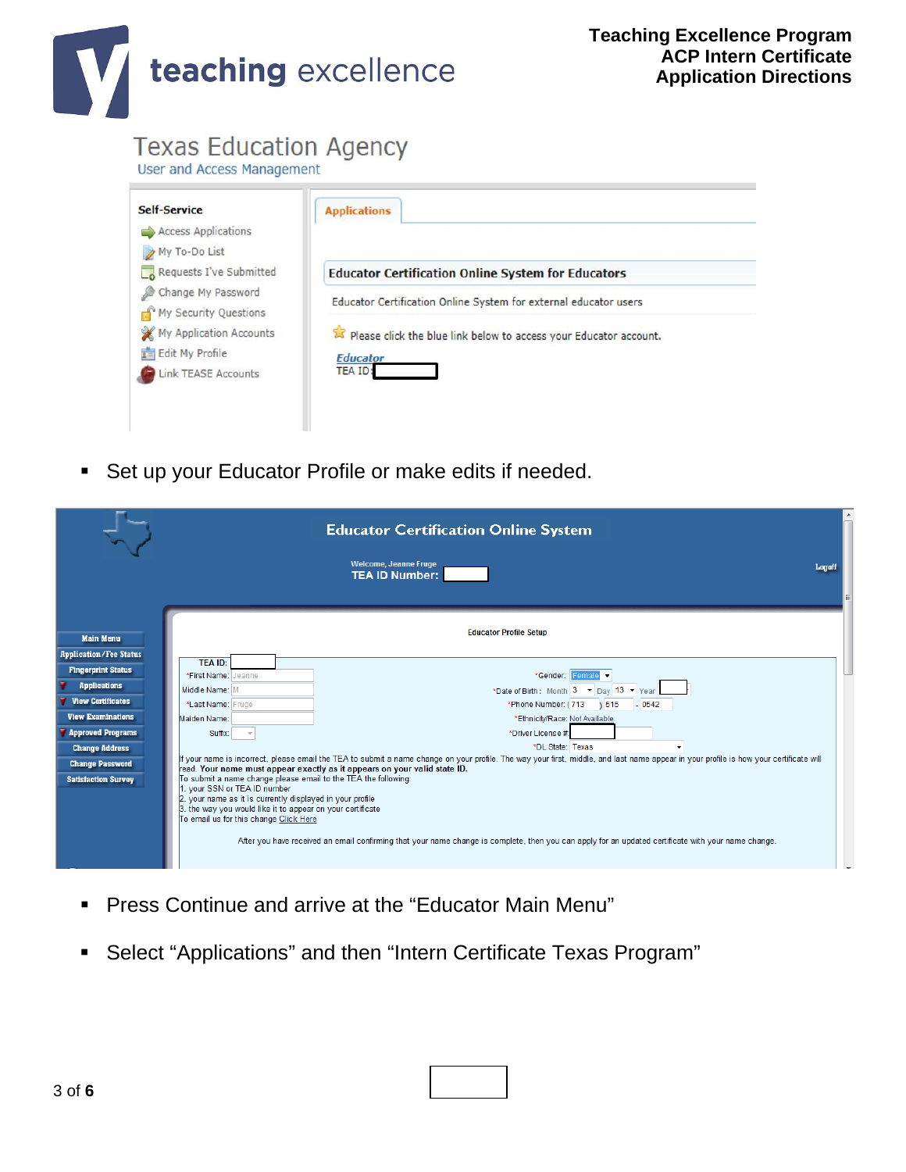

# **Texas Education Agency**

User and Access Management

| Access Applications                                                                       |                                                                                      |
|-------------------------------------------------------------------------------------------|--------------------------------------------------------------------------------------|
| My To-Do List<br>Requests I've Submitted                                                  | <b>Educator Certification Online System for Educators</b>                            |
| Change My Password<br>My Security Questions<br>My Application Accounts<br>Edit My Profile | Educator Certification Online System for external educator users                     |
|                                                                                           | Please click the blue link below to access your Educator account.<br><b>Educator</b> |
| <b>Link TEASE Accounts</b>                                                                | <b>TEA ID:</b>                                                                       |

**Set up your Educator Profile or make edits if needed.** 

|                                                                                                                                                                                                                                                 |                                                                                                                                                                                                                                                                                                                                                                                | <b>Educator Certification Online System</b>                                                                                                                                                                                                                                                                                                                                                                                                                                                                                                                                                                                                        |  |
|-------------------------------------------------------------------------------------------------------------------------------------------------------------------------------------------------------------------------------------------------|--------------------------------------------------------------------------------------------------------------------------------------------------------------------------------------------------------------------------------------------------------------------------------------------------------------------------------------------------------------------------------|----------------------------------------------------------------------------------------------------------------------------------------------------------------------------------------------------------------------------------------------------------------------------------------------------------------------------------------------------------------------------------------------------------------------------------------------------------------------------------------------------------------------------------------------------------------------------------------------------------------------------------------------------|--|
|                                                                                                                                                                                                                                                 |                                                                                                                                                                                                                                                                                                                                                                                | Welcome, Jeanne Fruge<br>Logoff<br><b>TEA ID Number:</b>                                                                                                                                                                                                                                                                                                                                                                                                                                                                                                                                                                                           |  |
| <b>Main Menu</b>                                                                                                                                                                                                                                |                                                                                                                                                                                                                                                                                                                                                                                | <b>Educator Profile Setup</b>                                                                                                                                                                                                                                                                                                                                                                                                                                                                                                                                                                                                                      |  |
| <b>Application/Fee Status</b><br><b>Fingerprint Status</b><br><b>Applications</b><br><b>View Certificates</b><br><b>View Examinations</b><br>Approved Programs<br><b>Change Address</b><br><b>Change Password</b><br><b>Satisfaction Survey</b> | <b>TEA ID:</b><br>*First Name: Jeanne<br>Middle Name: M<br>*Last Name: Fruge<br>Maiden Name:<br>Suffix:<br>To submit a name change please email to the TEA the following:<br>1. your SSN or TEA ID number<br>2. your name as it is currently displayed in your profile<br>3. the way you would like it to appear on your certificate<br>To email us for this change Click Here | *Gender: Female v<br>*Date of Birth: Month 3 $\blacktriangleright$ Day 13 $\blacktriangleright$ Year<br>*Phone Number: (713 ) 515 - 0542<br>*Ethnicity/Race: Not Available<br>*Driver License #:<br>*DL State: Texas<br>If your name is incorrect, please email the TEA to submit a name change on your profile. The way your first, middle, and last name appear in your profile is how your certificate will<br>read. Your name must appear exactly as it appears on your valid state ID.<br>After you have received an email confirming that your name change is complete, then you can apply for an updated certificate with your name change. |  |

- Press Continue and arrive at the "Educator Main Menu"
- Select "Applications" and then "Intern Certificate Texas Program"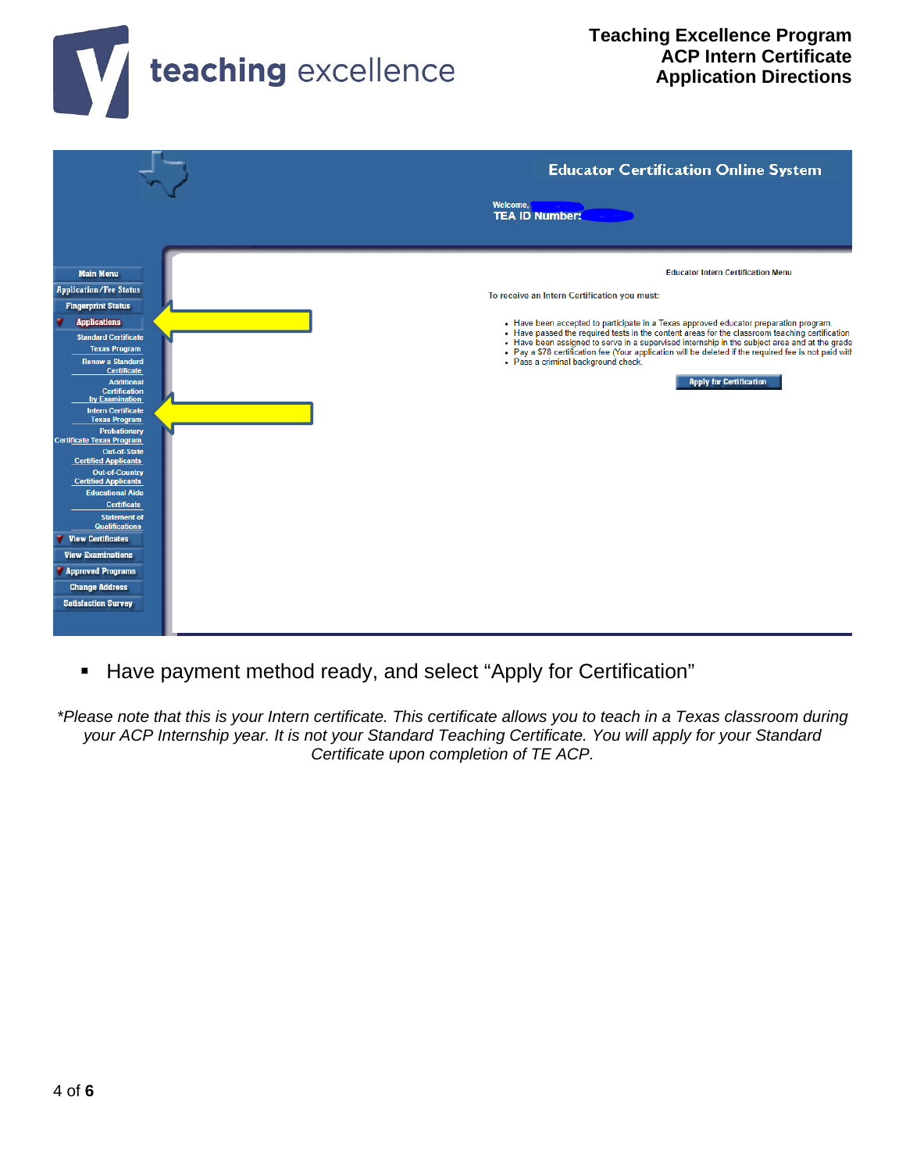



Have payment method ready, and select "Apply for Certification"

*\*Please note that this is your Intern certificate. This certificate allows you to teach in a Texas classroom during your ACP Internship year. It is not your Standard Teaching Certificate. You will apply for your Standard Certificate upon completion of TE ACP.*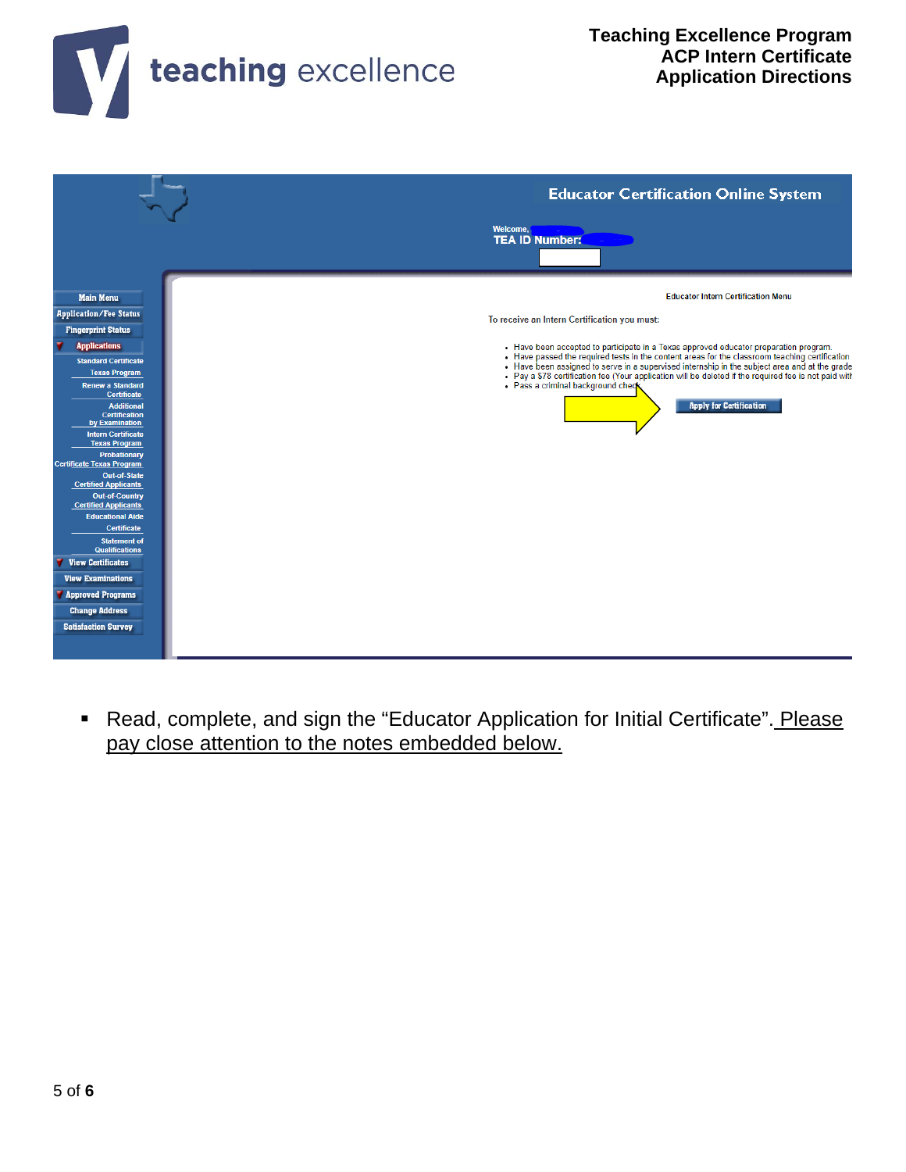



 Read, complete, and sign the "Educator Application for Initial Certificate". Please pay close attention to the notes embedded below.